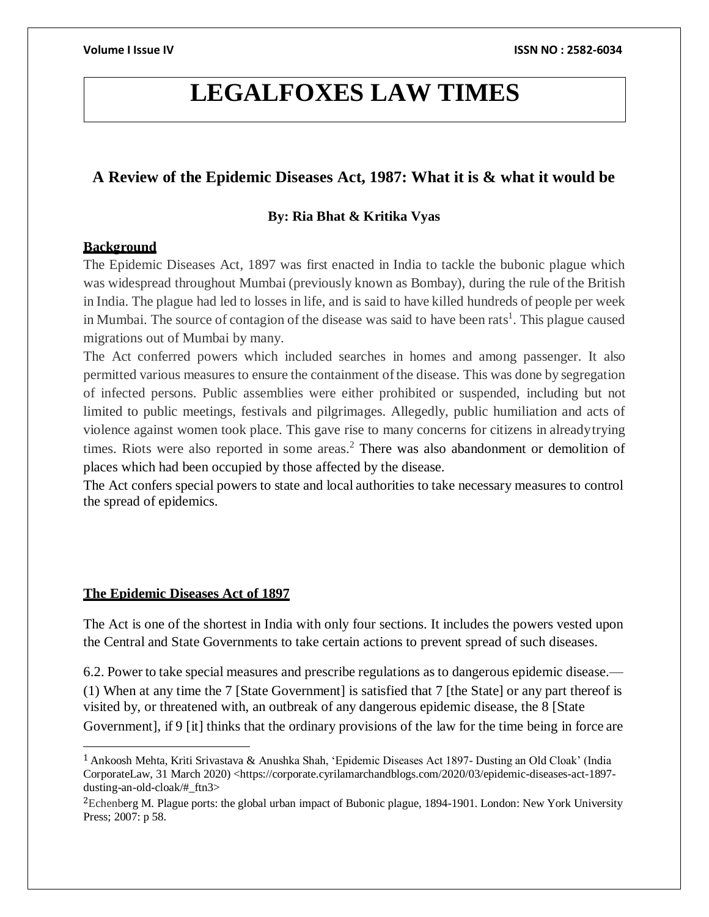# **LEGALFOXES LAW TIMES**

# **A Review of the Epidemic Diseases Act, 1987: What it is & what it would be**

# **By: Ria Bhat & Kritika Vyas**

# **Background**

The Epidemic Diseases Act, 1897 was first enacted in India to tackle the bubonic plague which was widespread throughout Mumbai (previously known as Bombay), during the rule of the British in India. The plague had led to losses in life, and is said to have killed hundreds of people per week in Mumbai. The source of contagion of the disease was said to have been rats<sup>1</sup>. This plague caused migrations out of Mumbai by many.

The Act conferred powers which included searches in homes and among passenger. It also permitted various measures to ensure the containment ofthe disease. This was done by segregation of infected persons. Public assemblies were either prohibited or suspended, including but not limited to public meetings, festivals and pilgrimages. Allegedly, public humiliation and acts of violence against women took place. This gave rise to many concerns for citizens in alreadytrying times. Riots were also reported in some areas.<sup>2</sup> There was also abandonment or demolition of places which had been occupied by those affected by the disease.

the spread of epidemics. The Act confers special powers to state and local authorities to take necessary measures to control

# **The Epidemic Diseases Act of 1897**

The Act is one of the shortest in India with only four sections. It includes the powers vested upon the Central and State Governments to take certain actions to prevent spread of such diseases.

6.2. Power to take special measures and prescribe regulations as to dangerous epidemic disease.— Government], if 9 [it] thinks that the ordinary provisions of the law for the time being in force are visited by, or threatened with, an outbreak of any dangerous epidemic disease, the 8 [State (1) When at any time the 7 [State Government] is satisfied that 7 [the State] or any part thereof is

<sup>1</sup>Ankoosh Mehta, Kriti Srivastava & Anushka Shah, 'Epidemic Diseases Act 1897- Dusting an Old Cloak' (India CorporateLaw, 31 March 2020) <[https://corporate.cyrilamarchandblogs.com/2020/03/epidemic-diseases-act-1897](https://corporate.cyrilamarchandblogs.com/2020/03/epidemic-diseases-act-1897-dusting-an-old-cloak/#_ftn3) [dusting-an-old-cloak/#\\_ftn3>](https://corporate.cyrilamarchandblogs.com/2020/03/epidemic-diseases-act-1897-dusting-an-old-cloak/#_ftn3)

<sup>&</sup>lt;sup>2</sup>Echenberg M. Plague ports: the global urban impact of Bubonic plague, 1894-1901. London: New York University Press; 2007: p 58.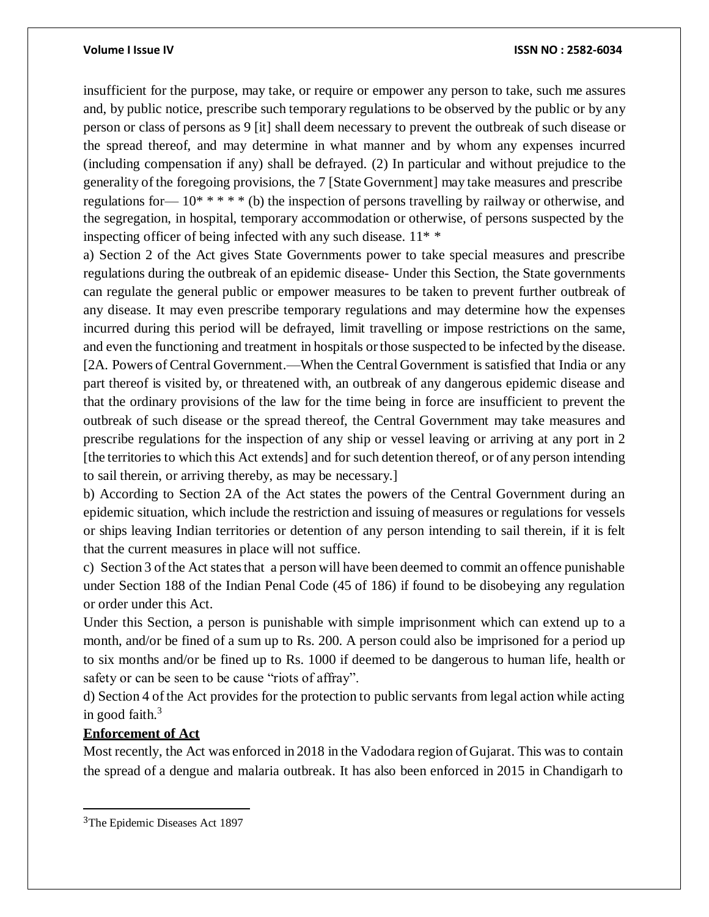insufficient for the purpose, may take, or require or empower any person to take, such me assures and, by public notice, prescribe such temporary regulations to be observed by the public or by any person or class of persons as 9 [it] shall deem necessary to prevent the outbreak of such disease or the spread thereof, and may determine in what manner and by whom any expenses incurred (including compensation if any) shall be defrayed. (2) In particular and without prejudice to the generality of the foregoing provisions, the 7 [State Government] may take measures and prescribe the segregation, in hospital, temporary accommodation or otherwise, of persons suspected by the inspecting officer of being infected with any such disease. 11\* \* regulations for  $-10^*$  \* \* \* \* (b) the inspection of persons travelling by railway or otherwise, and

a) Section 2 of the Act gives State Governments power to take special measures and prescribe regulations during the outbreak of an epidemic disease- Under this Section, the State governments can regulate the general public or empower measures to be taken to prevent further outbreak of any disease. It may even prescribe temporary regulations and may determine how the expenses incurred during this period will be defrayed, limit travelling or impose restrictions on the same, and even the functioning and treatment in hospitals orthose suspected to be infected by the disease. [2A. Powers of Central Government.—When the Central Government is satisfied that India or any part thereof is visited by, or threatened with, an outbreak of any dangerous epidemic disease and that the ordinary provisions of the law for the time being in force are insufficient to prevent the outbreak of such disease or the spread thereof, the Central Government may take measures and prescribe regulations for the inspection of any ship or vessel leaving or arriving at any port in 2 [the territories to which this Act extends] and for such detention thereof, or of any person intending to sail therein, or arriving thereby, as may be necessary.]

b) According to Section 2A of the Act states the powers of the Central Government during an epidemic situation, which include the restriction and issuing of measures or regulations for vessels or ships leaving Indian territories or detention of any person intending to sail therein, if it is felt that the current measures in place will not suffice.

c) Section 3 ofthe Act statesthat a person will have been deemed to commit an offence punishable under Section 188 of the Indian Penal Code (45 of 186) if found to be disobeying any regulation or order under this Act.

Under this Section, a person is punishable with simple imprisonment which can extend up to a month, and/or be fined of a sum up to Rs. 200. A person could also be imprisoned for a period up to six months and/or be fined up to Rs. 1000 if deemed to be dangerous to human life, health or safety or can be seen to be cause "riots of affray".

d) Section 4 of the Act provides for the protection to public servants from legal action while acting in good faith. $3$ 

# **Enforcement of Act**

Most recently, the Act was enforced in 2018 in the Vadodara region of Gujarat. This was to contain the spread of a dengue and malaria outbreak. It has also been enforced in 2015 in Chandigarh to

<sup>3</sup>The Epidemic Diseases Act 1897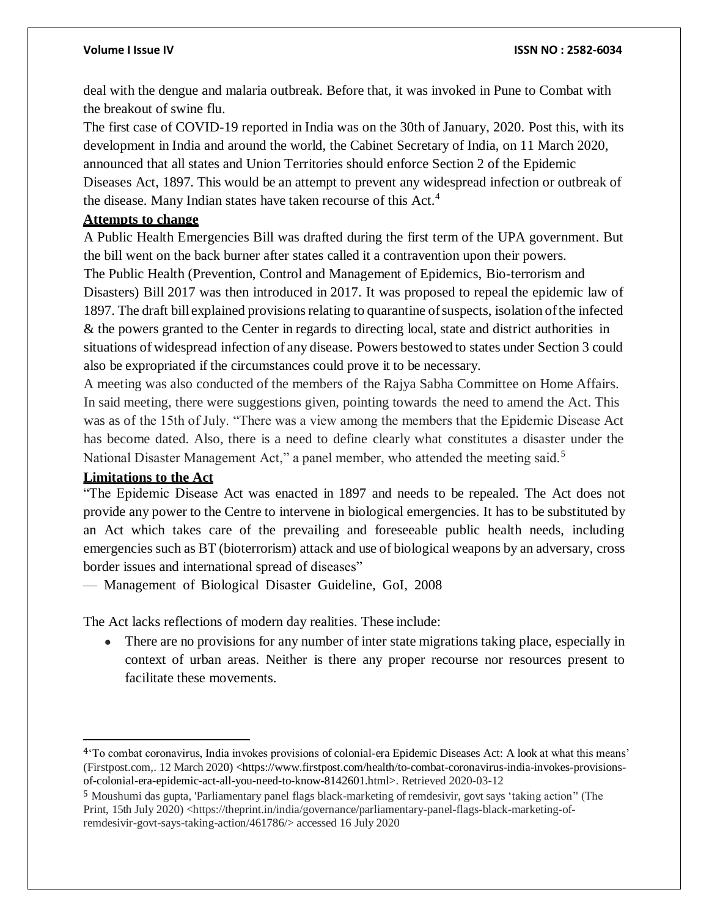deal with the dengue and malaria outbreak. Before that, it was invoked in Pune to Combat with the breakout of swine flu.

The first case of COVID-19 reported in India was on the 30th of January, 2020. Post this, with its development in India and around the world, the Cabinet Secretary of India, on 11 March 2020, announced that all states and Union Territories should enforce Section 2 of the Epidemic Diseases Act, 1897. This would be an attempt to prevent any widespread infection or outbreak of the disease. Many Indian states have taken recourse of this Act.<sup>4</sup>

### **Attempts to change**

A Public Health Emergencies Bill was drafted during the first term of the UPA government. But the bill went on the back burner after states called it a contravention upon their powers.

The Public Health (Prevention, Control and Management of Epidemics, Bio-terrorism and Disasters) Bill 2017 was then introduced in 2017. It was proposed to repeal the epidemic law of 1897. The draft bill explained provisionsrelating to quarantine ofsuspects, isolation ofthe infected & the powers granted to the Center in regards to directing local, state and district authorities in situations of widespread infection of any disease. Powers bestowed to states under Section 3 could also be expropriated if the circumstances could prove it to be necessary.

A meeting was also conducted of the members of the Rajya Sabha Committee on Home Affairs. In said meeting, there were suggestions given, pointing towards the need to amend the Act. This was as of the 15th of July. "There was a view among the members that the Epidemic Disease Act has become dated. Also, there is a need to define clearly what constitutes a disaster under the National Disaster Management Act," a panel member, who attended the meeting said.<sup>5</sup>

# **Limitations to the Act**

"The Epidemic Disease Act was enacted in 1897 and needs to be repealed. The Act does not provide any power to the Centre to intervene in biological emergencies. It has to be substituted by an Act which takes care of the prevailing and foreseeable public health needs, including emergencies such as BT (bioterrorism) attack and use of biological weapons by an adversary, cross border issues and international spread of diseases"

— Management of Biological Disaster Guideline, GoI, 2008

The Act lacks reflections of modern day realities. These include:

• There are no provisions for any number of inter state migrations taking place, especially in context of urban areas. Neither is there any proper recourse nor resources present to facilitate these movements.

<sup>4</sup>'To combat coronavirus, India invokes provisions of colonial-era Epidemic Diseases Act: A look at what this means' (Firstpost.com,. 12 March 2020) <https:/[/www.firstpost.com/health/to-combat-coronavirus-india-invokes-provisions](http://www.firstpost.com/health/to-combat-coronavirus-india-invokes-provisions-)of-colonial-era-epidemic-act-all-you-need-to-know-8142601.html>. Retrieved 2020-03-12

<sup>5</sup> Moushumi das gupta, 'Parliamentary panel flags black-marketing of remdesivir, govt says 'taking action'' (The Print, 15th July 2020) <https://theprint.in/india/governance/parliamentary-panel-flags-black-marketing-ofremdesivir-govt-says-taking-action/461786/> accessed 16 July 2020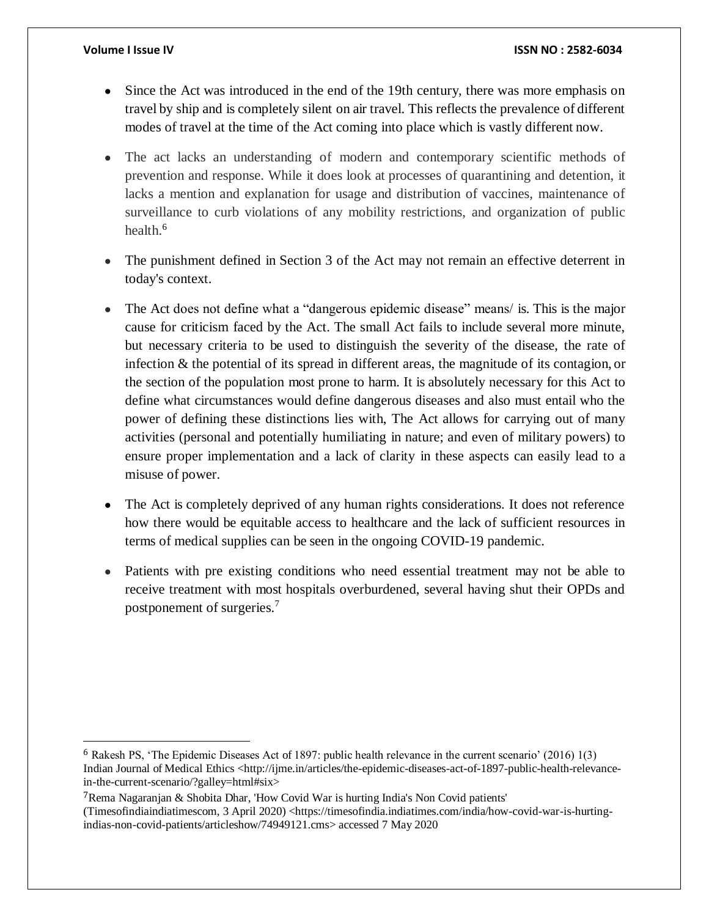- Since the Act was introduced in the end of the 19th century, there was more emphasis on travel by ship and is completely silent on air travel. This reflects the prevalence of different modes of travel at the time of the Act coming into place which is vastly different now.
- The act lacks an understanding of modern and contemporary scientific methods of prevention and response. While it does look at processes of quarantining and detention, it lacks a mention and explanation for usage and distribution of vaccines, maintenance of surveillance to curb violations of any mobility restrictions, and organization of public health.<sup>6</sup>
- The punishment defined in Section 3 of the Act may not remain an effective deterrent in today's context.
- The Act does not define what a "dangerous epidemic disease" means/ is. This is the major cause for criticism faced by the Act. The small Act fails to include several more minute, but necessary criteria to be used to distinguish the severity of the disease, the rate of infection & the potential of its spread in different areas, the magnitude of its contagion, or the section of the population most prone to harm. It is absolutely necessary for this Act to define what circumstances would define dangerous diseases and also must entail who the power of defining these distinctions lies with, The Act allows for carrying out of many activities (personal and potentially humiliating in nature; and even of military powers) to ensure proper implementation and a lack of clarity in these aspects can easily lead to a misuse of power.
- The Act is completely deprived of any human rights considerations. It does not reference how there would be equitable access to healthcare and the lack of sufficient resources in terms of medical supplies can be seen in the ongoing COVID-19 pandemic.
- Patients with pre existing conditions who need essential treatment may not be able to receive treatment with most hospitals overburdened, several having shut their OPDs and postponement of surgeries.<sup>7</sup>

<sup>6</sup> Rakesh PS, 'The Epidemic Diseases Act of 1897: public health relevance in the current scenario' (2016) 1(3) Indian Journal of Medical Ethics [<http://ijme.in/articles/the-epidemic-diseases-act-of-1897-public-health-relevance](http://ijme.in/articles/the-epidemic-diseases-act-of-1897-public-health-relevance-)in-the-current-scenario/?galley=html#six>

<sup>7</sup>Rema Nagaranjan & Shobita Dhar, 'How Covid War is hurting India's Non Covid patients' (Timesofindiaindiatimescom, 3 April 2020) <https://timesofindia.indiatimes.com/india/how-covid-war-is-hurtingindias-non-covid-patients/articleshow/74949121.cms> accessed 7 May 2020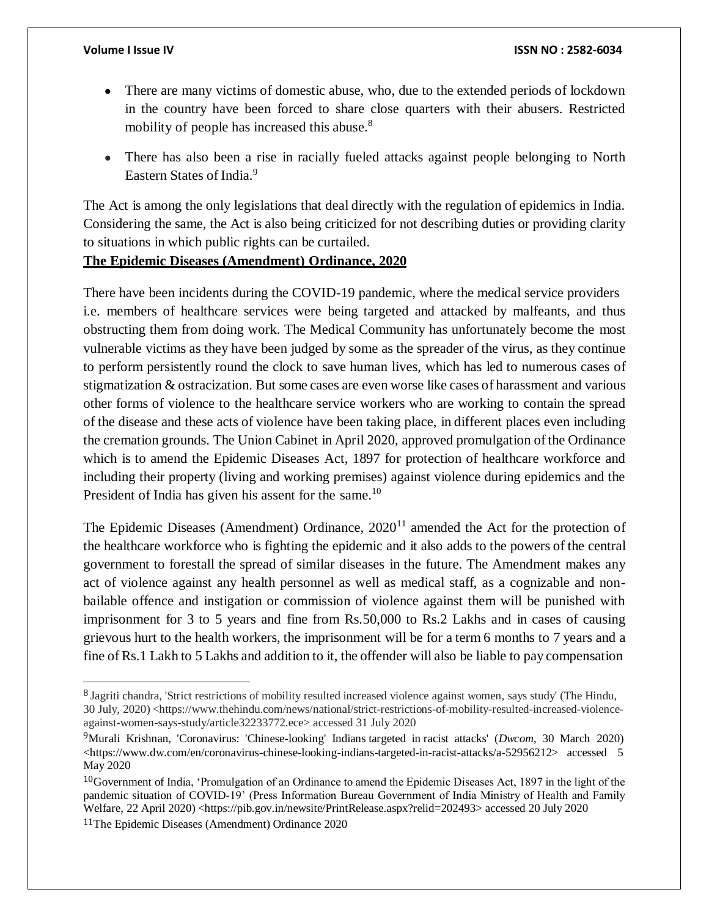- There are many victims of domestic abuse, who, due to the extended periods of lockdown in the country have been forced to share close quarters with their abusers. Restricted mobility of people has increased this abuse.<sup>8</sup>
- There has also been a rise in racially fueled attacks against people belonging to North Eastern States of India.<sup>9</sup>

The Act is among the only legislations that deal directly with the regulation of epidemics in India. Considering the same, the Act is also being criticized for not describing duties or providing clarity to situations in which public rights can be curtailed.

# **The Epidemic Diseases (Amendment) Ordinance, 2020**

There have been incidents during the COVID-19 pandemic, where the medical service providers i.e. members of healthcare services were being targeted and attacked by malfeants, and thus obstructing them from doing work. The Medical Community has unfortunately become the most vulnerable victims as they have been judged by some as the spreader of the virus, as they continue to perform persistently round the clock to save human lives, which has led to numerous cases of stigmatization & ostracization. But some cases are even worse like cases of harassment and various other forms of violence to the healthcare service workers who are working to contain the spread of the disease and these acts of violence have been taking place, in different places even including the cremation grounds. The Union Cabinet in April 2020, approved promulgation of the Ordinance which is to amend the Epidemic Diseases Act, 1897 for protection of healthcare workforce and including their property (living and working premises) against violence during epidemics and the President of India has given his assent for the same.<sup>10</sup>

The Epidemic Diseases (Amendment) Ordinance,  $2020<sup>11</sup>$  amended the Act for the protection of the healthcare workforce who is fighting the epidemic and it also adds to the powers of the central government to forestall the spread of similar diseases in the future. The Amendment makes any act of violence against any health personnel as well as medical staff, as a cognizable and nonbailable offence and instigation or commission of violence against them will be punished with imprisonment for 3 to 5 years and fine from Rs.50,000 to Rs.2 Lakhs and in cases of causing grievous hurt to the health workers, the imprisonment will be for a term 6 months to 7 years and a fine of Rs.1 Lakh to 5 Lakhs and addition to it, the offender will also be liable to pay compensation

<sup>8</sup> Jagriti chandra, 'Strict restrictions of mobility resulted increased violence against women, says study' (The Hindu, 30 July, 2020) <https:/[/www.thehindu.com/news/national/strict-restrictions-of-mobility-resulted-increased-violence](http://www.thehindu.com/news/national/strict-restrictions-of-mobility-resulted-increased-violence-)against-women-says-study/article32233772.ece> accessed 31 July 2020

<sup>9</sup>Murali Krishnan, 'Coronavirus: 'Chinese-looking' Indians targeted in racist attacks' (*Dwcom*, 30 March 2020)  $\langle$ https:/[/www.dw.com/en/coronavirus-chinese-looking-indians-targeted-in-racist-attacks/a-52956212>](http://www.dw.com/en/coronavirus-chinese-looking-indians-targeted-in-racist-attacks/a-52956212) accessed 5 May 2020

 $10$ Government of India, 'Promulgation of an Ordinance to amend the Epidemic Diseases Act, 1897 in the light of the pandemic situation of COVID-19' (Press Information Bureau Government of India Ministry of Health and Family Welfare, 22 April 2020) [<https://pib.gov.in/newsite/PrintRelease.aspx?relid=202493>](https://pib.gov.in/newsite/PrintRelease.aspx?relid=202493) accessed 20 July 2020

<sup>11</sup>The Epidemic Diseases (Amendment) Ordinance 2020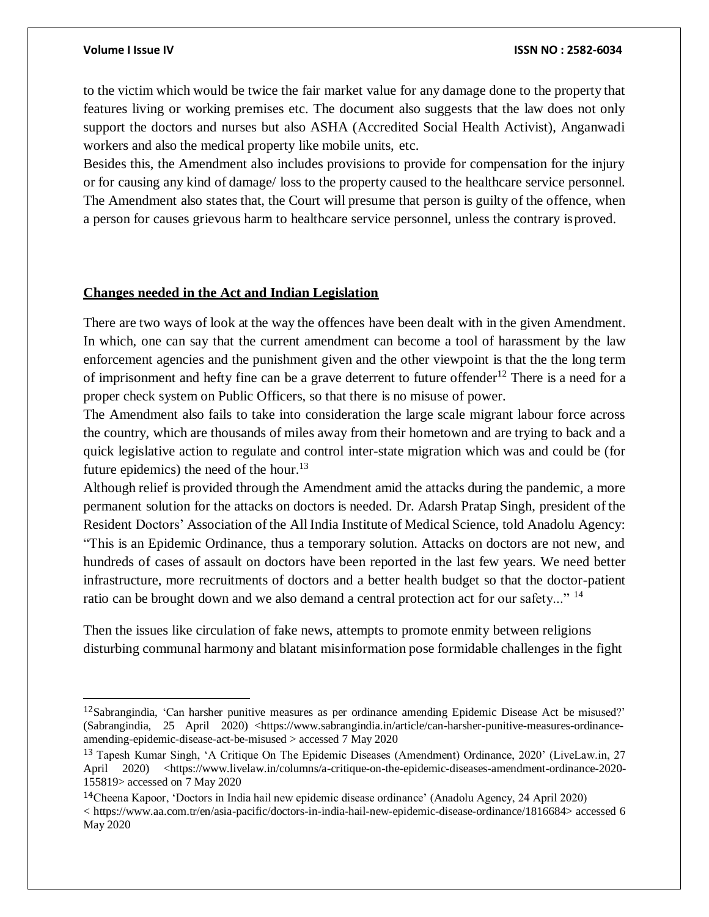to the victim which would be twice the fair market value for any damage done to the property that features living or working premises etc. The document also suggests that the law does not only support the doctors and nurses but also ASHA (Accredited Social Health Activist), Anganwadi workers and also the medical property like mobile units, etc.

Besides this, the Amendment also includes provisions to provide for compensation for the injury or for causing any kind of damage/ loss to the property caused to the healthcare service personnel. The Amendment also states that, the Court will presume that person is guilty of the offence, when a person for causes grievous harm to healthcare service personnel, unless the contrary isproved.

### **Changes needed in the Act and Indian Legislation**

There are two ways of look at the way the offences have been dealt with in the given Amendment. In which, one can say that the current amendment can become a tool of harassment by the law enforcement agencies and the punishment given and the other viewpoint is that the the long term of imprisonment and hefty fine can be a grave deterrent to future offender<sup>12</sup> There is a need for a proper check system on Public Officers, so that there is no misuse of power.

The Amendment also fails to take into consideration the large scale migrant labour force across the country, which are thousands of miles away from their hometown and are trying to back and a quick legislative action to regulate and control inter-state migration which was and could be (for future epidemics) the need of the hour.<sup>13</sup>

Although relief is provided through the Amendment amid the attacks during the pandemic, a more permanent solution for the attacks on doctors is needed. Dr. Adarsh Pratap Singh, president of the Resident Doctors' Association of the AllIndia Institute of Medical Science, told Anadolu Agency: "This is an Epidemic Ordinance, thus a temporary solution. Attacks on doctors are not new, and hundreds of cases of assault on doctors have been reported in the last few years. We need better infrastructure, more recruitments of doctors and a better health budget so that the doctor-patient ratio can be brought down and we also demand a central protection act for our safety..."<sup>14</sup>

Then the issues like circulation of fake news, attempts to promote enmity between religions disturbing communal harmony and blatant misinformation pose formidable challenges in the fight

<sup>12</sup>Sabrangindia, 'Can harsher punitive measures as per ordinance amending Epidemic Disease Act be misused?' (Sabrangindia, 25 April 2020) [<https://www.sabrangindia.in/article/can-harsher-punitive-measures-ordinance](https://www.sabrangindia.in/article/can-harsher-punitive-measures-ordinance-amending-epidemic-disease-act-be-misused)[amending-epidemic-disease-act-be-misused >](https://www.sabrangindia.in/article/can-harsher-punitive-measures-ordinance-amending-epidemic-disease-act-be-misused) accessed 7 May 2020

<sup>13</sup> Tapesh Kumar Singh, 'A Critique On The Epidemic Diseases (Amendment) Ordinance, 2020' (LiveLaw.in, 27 April 2020) [<https://www.livelaw.in/columns/a-critique-on-the-epidemic-diseases-amendment-ordinance-2020-](https://www.livelaw.in/columns/a-critique-on-the-epidemic-diseases-amendment-ordinance-2020-155819) [155819>](https://www.livelaw.in/columns/a-critique-on-the-epidemic-diseases-amendment-ordinance-2020-155819) accessed on 7 May 2020

<sup>14</sup>Cheena Kapoor, 'Doctors in India hail new epidemic disease ordinance' (Anadolu Agency, 24 April 2020) < [https://www.aa.com.tr/en/asia-pacific/doctors-in-india-hail-new-epidemic-disease-ordinance/1816684>](https://www.aa.com.tr/en/asia-pacific/doctors-in-india-hail-new-epidemic-disease-ordinance/1816684) accessed 6 May 2020